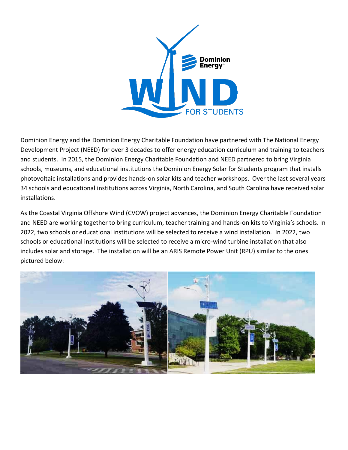

Dominion Energy and the Dominion Energy Charitable Foundation have partnered with The National Energy Development Project (NEED) for over 3 decades to offer energy education curriculum and training to teachers and students. In 2015, the Dominion Energy Charitable Foundation and NEED partnered to bring Virginia schools, museums, and educational institutions the Dominion Energy Solar for Students program that installs photovoltaic installations and provides hands-on solar kits and teacher workshops. Over the last several years 34 schools and educational institutions across Virginia, North Carolina, and South Carolina have received solar installations.

As the Coastal Virginia Offshore Wind (CVOW) project advances, the Dominion Energy Charitable Foundation and NEED are working together to bring curriculum, teacher training and hands-on kits to Virginia's schools. In 2022, two schools or educational institutions will be selected to receive a wind installation. In 2022, two schools or educational institutions will be selected to receive a micro-wind turbine installation that also includes solar and storage. The installation will be an ARIS Remote Power Unit (RPU) similar to the ones pictured below:

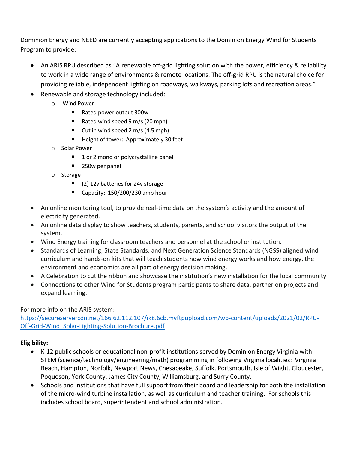Dominion Energy and NEED are currently accepting applications to the Dominion Energy Wind for Students Program to provide:

- An ARIS RPU described as "A renewable off-grid lighting solution with the power, efficiency & reliability to work in a wide range of environments & remote locations. The off-grid RPU is the natural choice for providing reliable, independent lighting on roadways, walkways, parking lots and recreation areas."
- Renewable and storage technology included:
	- o Wind Power
		- Rated power output 300w
		- Rated wind speed 9 m/s (20 mph)
		- Cut in wind speed 2 m/s (4.5 mph)
		- Height of tower: Approximately 30 feet
	- o Solar Power
		- 1 or 2 mono or polycrystalline panel
		- 250w per panel
	- o Storage
		- (2) 12v batteries for 24v storage
		- Capacity: 150/200/230 amp hour
- An online monitoring tool, to provide real-time data on the system's activity and the amount of electricity generated.
- An online data display to show teachers, students, parents, and school visitors the output of the system.
- Wind Energy training for classroom teachers and personnel at the school or institution.
- Standards of Learning, State Standards, and Next Generation Science Standards (NGSS) aligned wind curriculum and hands-on kits that will teach students how wind energy works and how energy, the environment and economics are all part of energy decision making.
- A Celebration to cut the ribbon and showcase the institution's new installation for the local community
- Connections to other Wind for Students program participants to share data, partner on projects and expand learning.

# For more info on the ARIS system:

[https://secureservercdn.net/166.62.112.107/ik8.6cb.myftpupload.com/wp-content/uploads/2021/02/RPU-](https://secureservercdn.net/166.62.112.107/ik8.6cb.myftpupload.com/wp-content/uploads/2021/02/RPU-Off-Grid-Wind_Solar-Lighting-Solution-Brochure.pdf)[Off-Grid-Wind\\_Solar-Lighting-Solution-Brochure.pdf](https://secureservercdn.net/166.62.112.107/ik8.6cb.myftpupload.com/wp-content/uploads/2021/02/RPU-Off-Grid-Wind_Solar-Lighting-Solution-Brochure.pdf)

# **Eligibility:**

- K-12 public schools or educational non-profit institutions served by Dominion Energy Virginia with STEM (science/technology/engineering/math) programming in following Virginia localities: Virginia Beach, Hampton, Norfolk, Newport News, Chesapeake, Suffolk, Portsmouth, Isle of Wight, Gloucester, Poquoson, York County, James City County, Williamsburg, and Surry County.
- Schools and institutions that have full support from their board and leadership for both the installation of the micro-wind turbine installation, as well as curriculum and teacher training. For schools this includes school board, superintendent and school administration.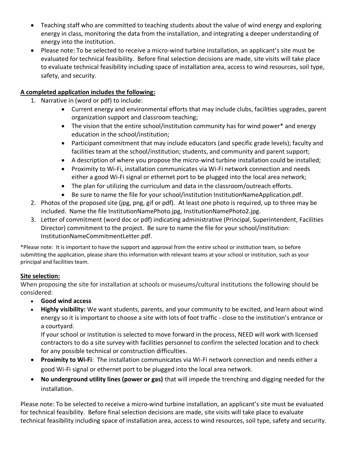- Teaching staff who are committed to teaching students about the value of wind energy and exploring energy in class, monitoring the data from the installation, and integrating a deeper understanding of energy into the institution.
- Please note: To be selected to receive a micro-wind turbine installation, an applicant's site must be evaluated for technical feasibility. Before final selection decisions are made, site visits will take place to evaluate technical feasibility including space of installation area, access to wind resources, soil type, safety, and security.

## **A completed application includes the following:**

- 1. Narrative in (word or pdf) to include:
	- Current energy and environmental efforts that may include clubs, facilities upgrades, parent organization support and classroom teaching;
	- The vision that the entire school/institution community has for wind power\* and energy education in the school/institution;
	- Participant commitment that may include educators (and specific grade levels); faculty and facilities team at the school/institution; students, and community and parent support;
	- A description of where you propose the micro-wind turbine installation could be installed;
	- Proximity to Wi-Fi, installation communicates via Wi-Fi network connection and needs either a good Wi-Fi signal or ethernet port to be plugged into the local area network;
	- The plan for utilizing the curriculum and data in the classroom/outreach efforts.
	- Be sure to name the file for your school/institution InstitutionNameApplication.pdf.
- 2. Photos of the proposed site (jpg, png, gif or pdf). At least one photo is required, up to three may be included. Name the file InstitutionNamePhoto.jpg, InstitutionNamePhoto2.jpg.
- 3. Letter of commitment (word doc or pdf) indicating administrative (Principal, Superintendent, Facilities Director) commitment to the project. Be sure to name the file for your school/institution: InstitutionNameCommitmentLetter.pdf.

\*Please note: It is important to have the support and approval from the entire school or institution team, so before submitting the application, please share this information with relevant teams at your school or institution, such as your principal and facilities team.

### **Site selection:**

When proposing the site for installation at schools or museums/cultural institutions the following should be considered:

- **Good wind access**
- **Highly visibility:** We want students, parents, and your community to be excited, and learn about wind energy so it is important to choose a site with lots of foot traffic - close to the institution's entrance or a courtyard.

If your school or institution is selected to move forward in the process, NEED will work with licensed contractors to do a site survey with facilities personnel to confirm the selected location and to check for any possible technical or construction difficulties.

- **Proximity to Wi-Fi**: The installation communicates via Wi-Fi network connection and needs either a good Wi-Fi signal or ethernet port to be plugged into the local area network.
- **No underground utility lines (power or gas)** that will impede the trenching and digging needed for the installation.

Please note: To be selected to receive a micro-wind turbine installation, an applicant's site must be evaluated for technical feasibility. Before final selection decisions are made, site visits will take place to evaluate technical feasibility including space of installation area, access to wind resources, soil type, safety and security.